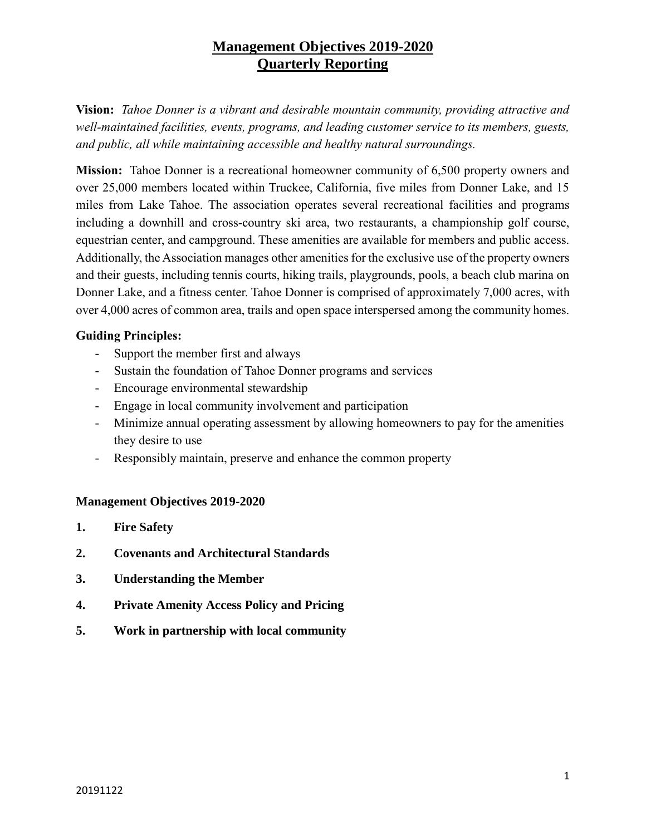**Vision:** *Tahoe Donner is a vibrant and desirable mountain community, providing attractive and well-maintained facilities, events, programs, and leading customer service to its members, guests, and public, all while maintaining accessible and healthy natural surroundings.* 

**Mission:** Tahoe Donner is a recreational homeowner community of 6,500 property owners and over 25,000 members located within Truckee, California, five miles from Donner Lake, and 15 miles from Lake Tahoe. The association operates several recreational facilities and programs including a downhill and cross-country ski area, two restaurants, a championship golf course, equestrian center, and campground. These amenities are available for members and public access. Additionally, the Association manages other amenities for the exclusive use of the property owners and their guests, including tennis courts, hiking trails, playgrounds, pools, a beach club marina on Donner Lake, and a fitness center. Tahoe Donner is comprised of approximately 7,000 acres, with over 4,000 acres of common area, trails and open space interspersed among the community homes.

## **Guiding Principles:**

- Support the member first and always
- Sustain the foundation of Tahoe Donner programs and services
- Encourage environmental stewardship
- Engage in local community involvement and participation
- Minimize annual operating assessment by allowing homeowners to pay for the amenities they desire to use
- Responsibly maintain, preserve and enhance the common property

#### **Management Objectives 2019-2020**

- **1. Fire Safety**
- **2. Covenants and Architectural Standards**
- **3. Understanding the Member**
- **4. Private Amenity Access Policy and Pricing**
- **5. Work in partnership with local community**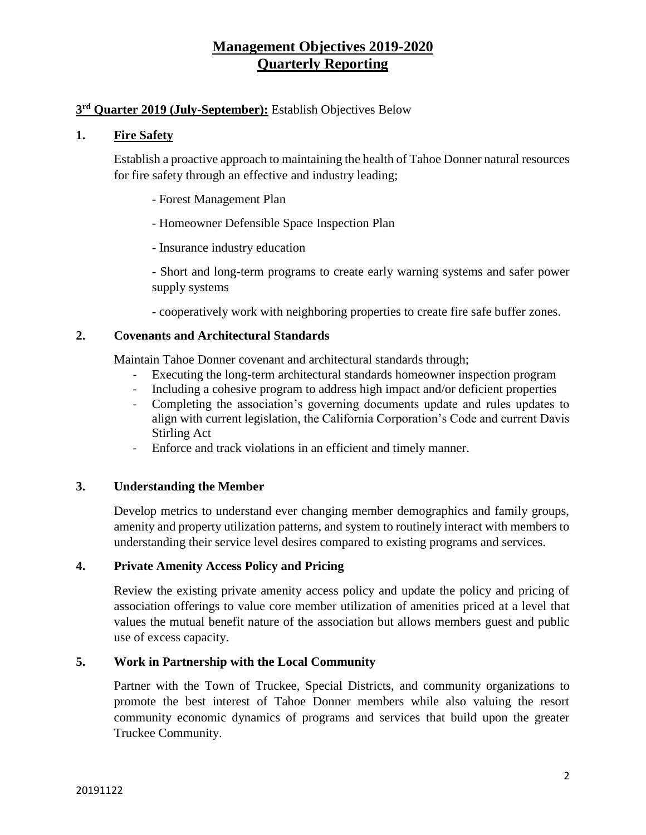## **3 rd Quarter 2019 (July-September):** Establish Objectives Below

#### **1. Fire Safety**

Establish a proactive approach to maintaining the health of Tahoe Donner natural resources for fire safety through an effective and industry leading;

- Forest Management Plan
- Homeowner Defensible Space Inspection Plan
- Insurance industry education
- Short and long-term programs to create early warning systems and safer power supply systems
- cooperatively work with neighboring properties to create fire safe buffer zones.

#### **2. Covenants and Architectural Standards**

Maintain Tahoe Donner covenant and architectural standards through;

- Executing the long-term architectural standards homeowner inspection program
- Including a cohesive program to address high impact and/or deficient properties
- Completing the association's governing documents update and rules updates to align with current legislation, the California Corporation's Code and current Davis Stirling Act
- Enforce and track violations in an efficient and timely manner.

#### **3. Understanding the Member**

Develop metrics to understand ever changing member demographics and family groups, amenity and property utilization patterns, and system to routinely interact with members to understanding their service level desires compared to existing programs and services.

#### **4. Private Amenity Access Policy and Pricing**

Review the existing private amenity access policy and update the policy and pricing of association offerings to value core member utilization of amenities priced at a level that values the mutual benefit nature of the association but allows members guest and public use of excess capacity.

#### **5. Work in Partnership with the Local Community**

Partner with the Town of Truckee, Special Districts, and community organizations to promote the best interest of Tahoe Donner members while also valuing the resort community economic dynamics of programs and services that build upon the greater Truckee Community.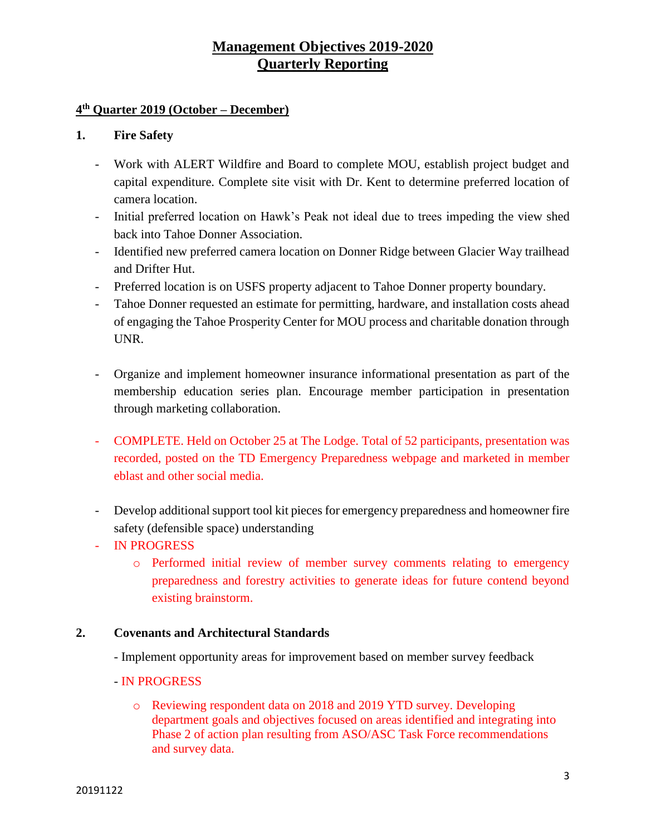## **4 th Quarter 2019 (October – December)**

#### **1. Fire Safety**

- Work with ALERT Wildfire and Board to complete MOU, establish project budget and capital expenditure. Complete site visit with Dr. Kent to determine preferred location of camera location.
- Initial preferred location on Hawk's Peak not ideal due to trees impeding the view shed back into Tahoe Donner Association.
- Identified new preferred camera location on Donner Ridge between Glacier Way trailhead and Drifter Hut.
- Preferred location is on USFS property adjacent to Tahoe Donner property boundary.
- Tahoe Donner requested an estimate for permitting, hardware, and installation costs ahead of engaging the Tahoe Prosperity Center for MOU process and charitable donation through UNR.
- Organize and implement homeowner insurance informational presentation as part of the membership education series plan. Encourage member participation in presentation through marketing collaboration.
- COMPLETE. Held on October 25 at The Lodge. Total of 52 participants, presentation was recorded, posted on the TD Emergency Preparedness webpage and marketed in member eblast and other social media.
- Develop additional support tool kit pieces for emergency preparedness and homeowner fire safety (defensible space) understanding
- IN PROGRESS
	- o Performed initial review of member survey comments relating to emergency preparedness and forestry activities to generate ideas for future contend beyond existing brainstorm.

#### **2. Covenants and Architectural Standards**

- Implement opportunity areas for improvement based on member survey feedback
- IN PROGRESS
	- o Reviewing respondent data on 2018 and 2019 YTD survey. Developing department goals and objectives focused on areas identified and integrating into Phase 2 of action plan resulting from ASO/ASC Task Force recommendations and survey data.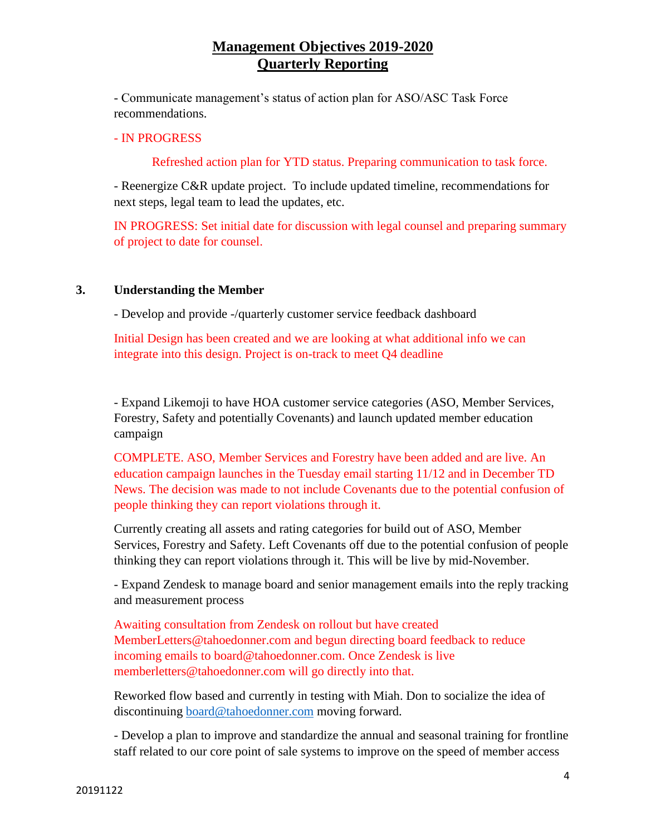- Communicate management's status of action plan for ASO/ASC Task Force recommendations.

#### - IN PROGRESS

Refreshed action plan for YTD status. Preparing communication to task force.

- Reenergize C&R update project. To include updated timeline, recommendations for next steps, legal team to lead the updates, etc.

IN PROGRESS: Set initial date for discussion with legal counsel and preparing summary of project to date for counsel.

#### **3. Understanding the Member**

- Develop and provide -/quarterly customer service feedback dashboard

Initial Design has been created and we are looking at what additional info we can integrate into this design. Project is on-track to meet Q4 deadline

- Expand Likemoji to have HOA customer service categories (ASO, Member Services, Forestry, Safety and potentially Covenants) and launch updated member education campaign

COMPLETE. ASO, Member Services and Forestry have been added and are live. An education campaign launches in the Tuesday email starting 11/12 and in December TD News. The decision was made to not include Covenants due to the potential confusion of people thinking they can report violations through it.

Currently creating all assets and rating categories for build out of ASO, Member Services, Forestry and Safety. Left Covenants off due to the potential confusion of people thinking they can report violations through it. This will be live by mid-November.

- Expand Zendesk to manage board and senior management emails into the reply tracking and measurement process

Awaiting consultation from Zendesk on rollout but have created MemberLetters@tahoedonner.com and begun directing board feedback to reduce incoming emails to board@tahoedonner.com. Once Zendesk is live memberletters@tahoedonner.com will go directly into that.

Reworked flow based and currently in testing with Miah. Don to socialize the idea of discontinuing [board@tahoedonner.com](mailto:board@tahoedonner.com) moving forward.

- Develop a plan to improve and standardize the annual and seasonal training for frontline staff related to our core point of sale systems to improve on the speed of member access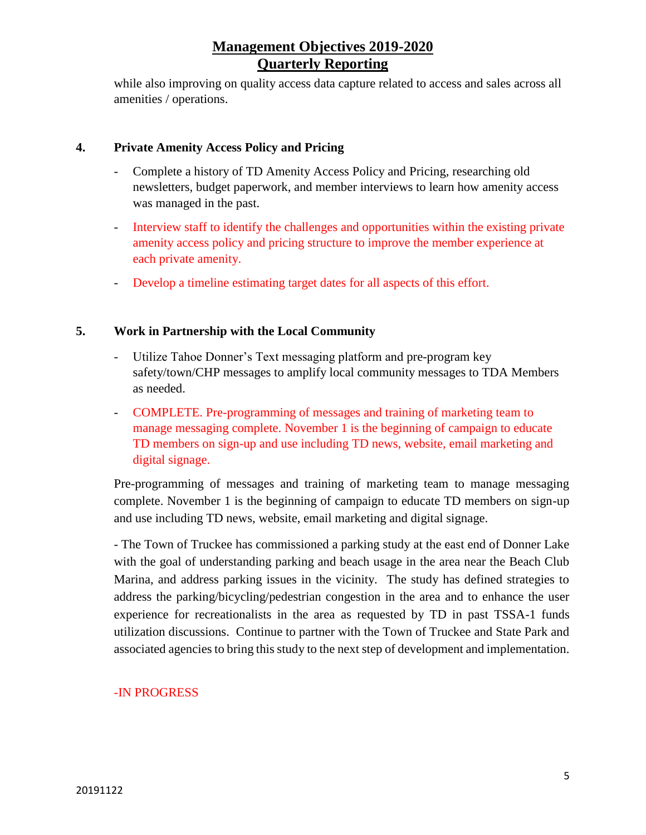while also improving on quality access data capture related to access and sales across all amenities / operations.

## **4. Private Amenity Access Policy and Pricing**

- Complete a history of TD Amenity Access Policy and Pricing, researching old newsletters, budget paperwork, and member interviews to learn how amenity access was managed in the past.
- Interview staff to identify the challenges and opportunities within the existing private amenity access policy and pricing structure to improve the member experience at each private amenity.
- Develop a timeline estimating target dates for all aspects of this effort.

### **5. Work in Partnership with the Local Community**

- Utilize Tahoe Donner's Text messaging platform and pre-program key safety/town/CHP messages to amplify local community messages to TDA Members as needed.
- COMPLETE. Pre-programming of messages and training of marketing team to manage messaging complete. November 1 is the beginning of campaign to educate TD members on sign-up and use including TD news, website, email marketing and digital signage.

Pre-programming of messages and training of marketing team to manage messaging complete. November 1 is the beginning of campaign to educate TD members on sign-up and use including TD news, website, email marketing and digital signage.

- The Town of Truckee has commissioned a parking study at the east end of Donner Lake with the goal of understanding parking and beach usage in the area near the Beach Club Marina, and address parking issues in the vicinity. The study has defined strategies to address the parking/bicycling/pedestrian congestion in the area and to enhance the user experience for recreationalists in the area as requested by TD in past TSSA-1 funds utilization discussions. Continue to partner with the Town of Truckee and State Park and associated agencies to bring this study to the next step of development and implementation.

#### -IN PROGRESS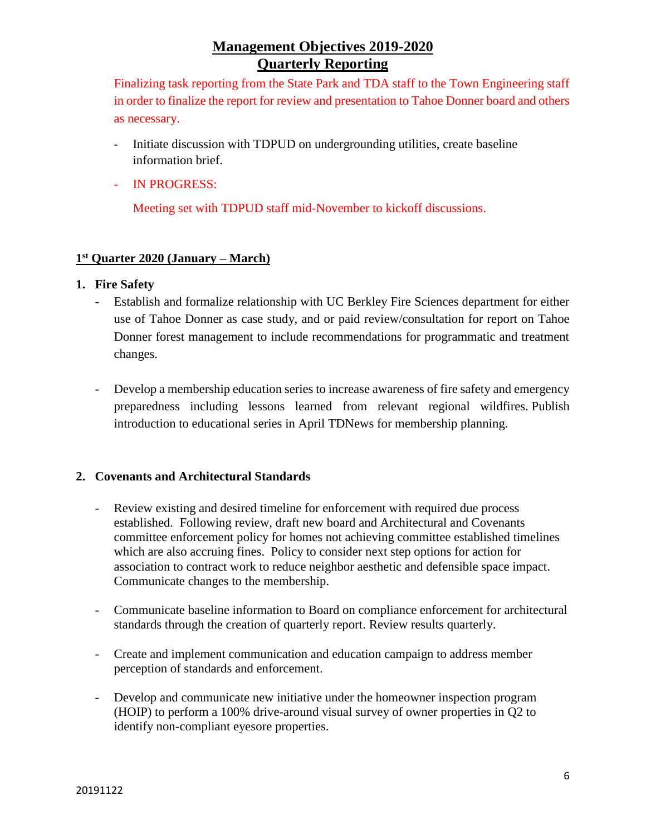Finalizing task reporting from the State Park and TDA staff to the Town Engineering staff in order to finalize the report for review and presentation to Tahoe Donner board and others as necessary.

- Initiate discussion with TDPUD on undergrounding utilities, create baseline information brief.
- IN PROGRESS:

Meeting set with TDPUD staff mid-November to kickoff discussions.

## **1 st Quarter 2020 (January – March)**

## **1. Fire Safety**

- Establish and formalize relationship with UC Berkley Fire Sciences department for either use of Tahoe Donner as case study, and or paid review/consultation for report on Tahoe Donner forest management to include recommendations for programmatic and treatment changes.
- Develop a membership education series to increase awareness of fire safety and emergency preparedness including lessons learned from relevant regional wildfires. Publish introduction to educational series in April TDNews for membership planning.

## **2. Covenants and Architectural Standards**

- Review existing and desired timeline for enforcement with required due process established. Following review, draft new board and Architectural and Covenants committee enforcement policy for homes not achieving committee established timelines which are also accruing fines. Policy to consider next step options for action for association to contract work to reduce neighbor aesthetic and defensible space impact. Communicate changes to the membership.
- Communicate baseline information to Board on compliance enforcement for architectural standards through the creation of quarterly report. Review results quarterly.
- Create and implement communication and education campaign to address member perception of standards and enforcement.
- Develop and communicate new initiative under the homeowner inspection program (HOIP) to perform a 100% drive-around visual survey of owner properties in Q2 to identify non-compliant eyesore properties.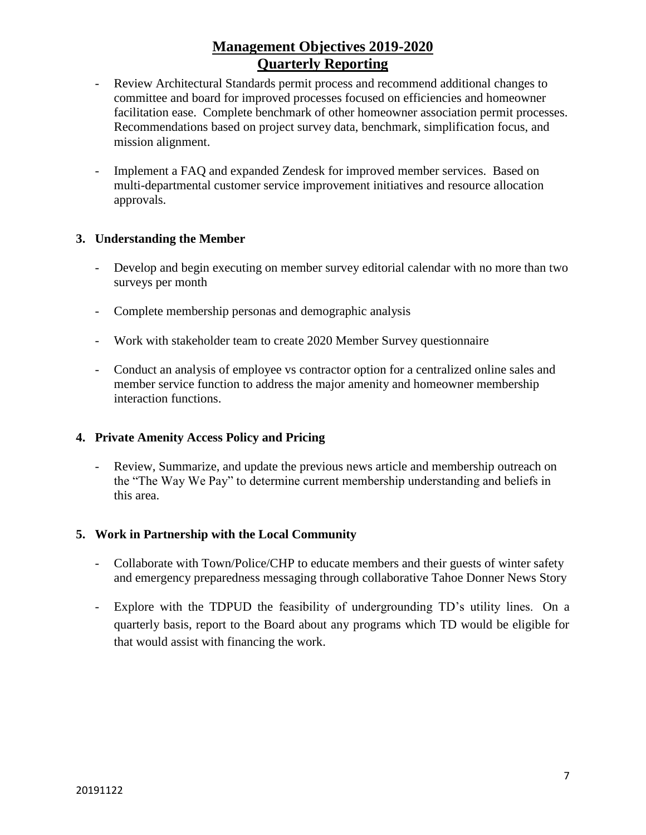- Review Architectural Standards permit process and recommend additional changes to committee and board for improved processes focused on efficiencies and homeowner facilitation ease. Complete benchmark of other homeowner association permit processes. Recommendations based on project survey data, benchmark, simplification focus, and mission alignment.
- Implement a FAQ and expanded Zendesk for improved member services. Based on multi-departmental customer service improvement initiatives and resource allocation approvals.

## **3. Understanding the Member**

- Develop and begin executing on member survey editorial calendar with no more than two surveys per month
- Complete membership personas and demographic analysis
- Work with stakeholder team to create 2020 Member Survey questionnaire
- Conduct an analysis of employee vs contractor option for a centralized online sales and member service function to address the major amenity and homeowner membership interaction functions.

#### **4. Private Amenity Access Policy and Pricing**

Review, Summarize, and update the previous news article and membership outreach on the "The Way We Pay" to determine current membership understanding and beliefs in this area.

#### **5. Work in Partnership with the Local Community**

- Collaborate with Town/Police/CHP to educate members and their guests of winter safety and emergency preparedness messaging through collaborative Tahoe Donner News Story
- Explore with the TDPUD the feasibility of undergrounding TD's utility lines. On a quarterly basis, report to the Board about any programs which TD would be eligible for that would assist with financing the work.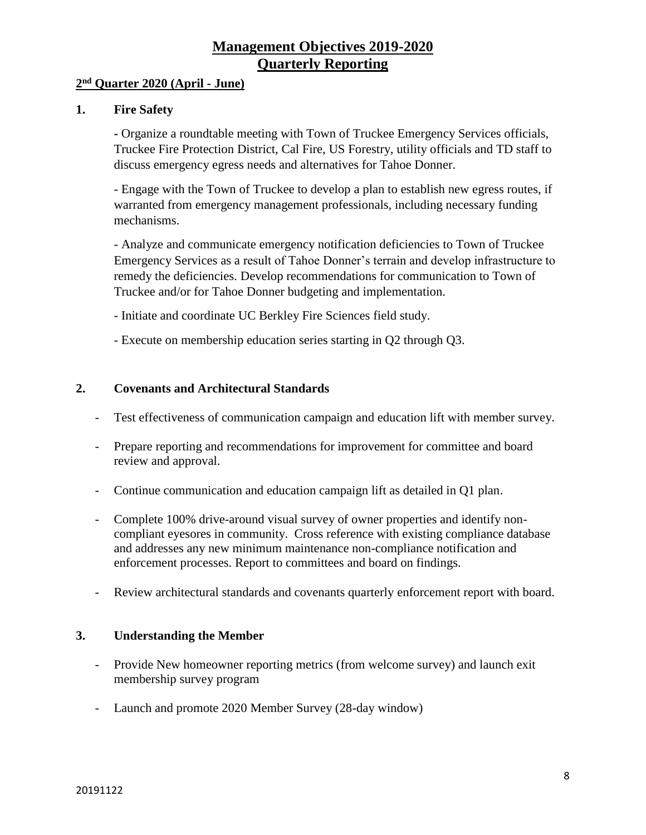#### **2 nd Quarter 2020 (April - June)**

#### **1. Fire Safety**

**-** Organize a roundtable meeting with Town of Truckee Emergency Services officials, Truckee Fire Protection District, Cal Fire, US Forestry, utility officials and TD staff to discuss emergency egress needs and alternatives for Tahoe Donner.

- Engage with the Town of Truckee to develop a plan to establish new egress routes, if warranted from emergency management professionals, including necessary funding mechanisms.

- Analyze and communicate emergency notification deficiencies to Town of Truckee Emergency Services as a result of Tahoe Donner's terrain and develop infrastructure to remedy the deficiencies. Develop recommendations for communication to Town of Truckee and/or for Tahoe Donner budgeting and implementation.

- Initiate and coordinate UC Berkley Fire Sciences field study.
- Execute on membership education series starting in Q2 through Q3.

#### **2. Covenants and Architectural Standards**

- Test effectiveness of communication campaign and education lift with member survey.
- Prepare reporting and recommendations for improvement for committee and board review and approval.
- Continue communication and education campaign lift as detailed in Q1 plan.
- Complete 100% drive-around visual survey of owner properties and identify noncompliant eyesores in community. Cross reference with existing compliance database and addresses any new minimum maintenance non-compliance notification and enforcement processes. Report to committees and board on findings.
- Review architectural standards and covenants quarterly enforcement report with board.

#### **3. Understanding the Member**

- Provide New homeowner reporting metrics (from welcome survey) and launch exit membership survey program
- Launch and promote 2020 Member Survey (28-day window)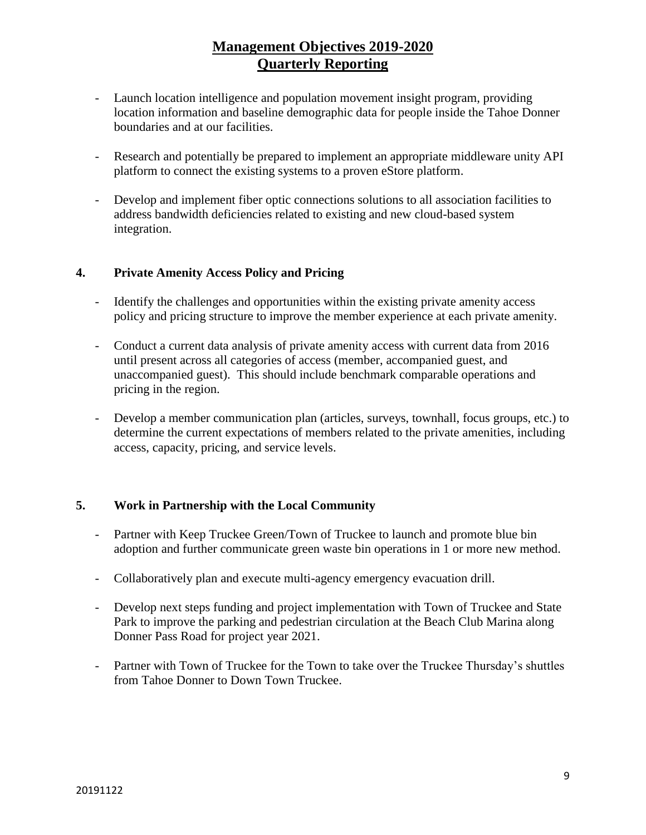- Launch location intelligence and population movement insight program, providing location information and baseline demographic data for people inside the Tahoe Donner boundaries and at our facilities.
- Research and potentially be prepared to implement an appropriate middleware unity API platform to connect the existing systems to a proven eStore platform.
- Develop and implement fiber optic connections solutions to all association facilities to address bandwidth deficiencies related to existing and new cloud-based system integration.

## **4. Private Amenity Access Policy and Pricing**

- Identify the challenges and opportunities within the existing private amenity access policy and pricing structure to improve the member experience at each private amenity.
- Conduct a current data analysis of private amenity access with current data from 2016 until present across all categories of access (member, accompanied guest, and unaccompanied guest). This should include benchmark comparable operations and pricing in the region.
- Develop a member communication plan (articles, surveys, townhall, focus groups, etc.) to determine the current expectations of members related to the private amenities, including access, capacity, pricing, and service levels.

#### **5. Work in Partnership with the Local Community**

- Partner with Keep Truckee Green/Town of Truckee to launch and promote blue bin adoption and further communicate green waste bin operations in 1 or more new method.
- Collaboratively plan and execute multi-agency emergency evacuation drill.
- Develop next steps funding and project implementation with Town of Truckee and State Park to improve the parking and pedestrian circulation at the Beach Club Marina along Donner Pass Road for project year 2021.
- Partner with Town of Truckee for the Town to take over the Truckee Thursday's shuttles from Tahoe Donner to Down Town Truckee.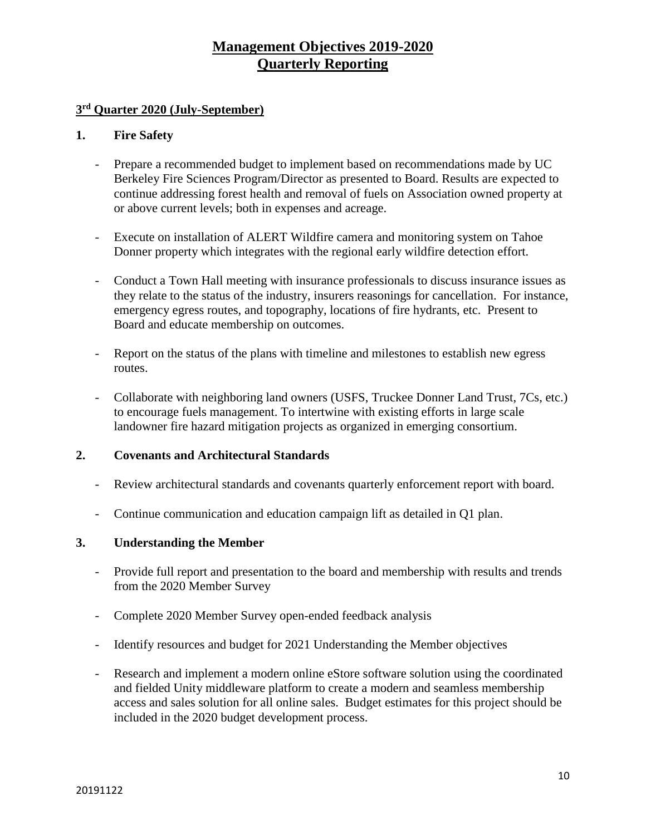### **3 rd Quarter 2020 (July-September)**

#### **1. Fire Safety**

- Prepare a recommended budget to implement based on recommendations made by UC Berkeley Fire Sciences Program/Director as presented to Board. Results are expected to continue addressing forest health and removal of fuels on Association owned property at or above current levels; both in expenses and acreage.
- Execute on installation of ALERT Wildfire camera and monitoring system on Tahoe Donner property which integrates with the regional early wildfire detection effort.
- Conduct a Town Hall meeting with insurance professionals to discuss insurance issues as they relate to the status of the industry, insurers reasonings for cancellation. For instance, emergency egress routes, and topography, locations of fire hydrants, etc. Present to Board and educate membership on outcomes.
- Report on the status of the plans with timeline and milestones to establish new egress routes.
- Collaborate with neighboring land owners (USFS, Truckee Donner Land Trust, 7Cs, etc.) to encourage fuels management. To intertwine with existing efforts in large scale landowner fire hazard mitigation projects as organized in emerging consortium.

#### **2. Covenants and Architectural Standards**

- Review architectural standards and covenants quarterly enforcement report with board.
- Continue communication and education campaign lift as detailed in Q1 plan.

#### **3. Understanding the Member**

- Provide full report and presentation to the board and membership with results and trends from the 2020 Member Survey
- Complete 2020 Member Survey open-ended feedback analysis
- Identify resources and budget for 2021 Understanding the Member objectives
- Research and implement a modern online eStore software solution using the coordinated and fielded Unity middleware platform to create a modern and seamless membership access and sales solution for all online sales. Budget estimates for this project should be included in the 2020 budget development process.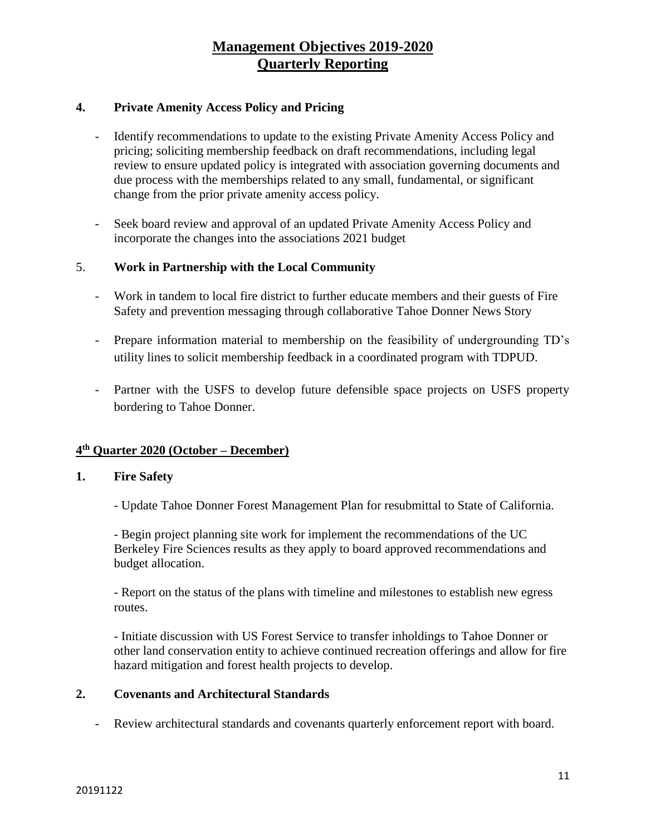## **4. Private Amenity Access Policy and Pricing**

- Identify recommendations to update to the existing Private Amenity Access Policy and pricing; soliciting membership feedback on draft recommendations, including legal review to ensure updated policy is integrated with association governing documents and due process with the memberships related to any small, fundamental, or significant change from the prior private amenity access policy.
- Seek board review and approval of an updated Private Amenity Access Policy and incorporate the changes into the associations 2021 budget

#### 5. **Work in Partnership with the Local Community**

- Work in tandem to local fire district to further educate members and their guests of Fire Safety and prevention messaging through collaborative Tahoe Donner News Story
- Prepare information material to membership on the feasibility of undergrounding TD's utility lines to solicit membership feedback in a coordinated program with TDPUD.
- Partner with the USFS to develop future defensible space projects on USFS property bordering to Tahoe Donner.

### **4 th Quarter 2020 (October – December)**

#### **1. Fire Safety**

- Update Tahoe Donner Forest Management Plan for resubmittal to State of California.

- Begin project planning site work for implement the recommendations of the UC Berkeley Fire Sciences results as they apply to board approved recommendations and budget allocation.

- Report on the status of the plans with timeline and milestones to establish new egress routes.

- Initiate discussion with US Forest Service to transfer inholdings to Tahoe Donner or other land conservation entity to achieve continued recreation offerings and allow for fire hazard mitigation and forest health projects to develop.

#### **2. Covenants and Architectural Standards**

- Review architectural standards and covenants quarterly enforcement report with board.